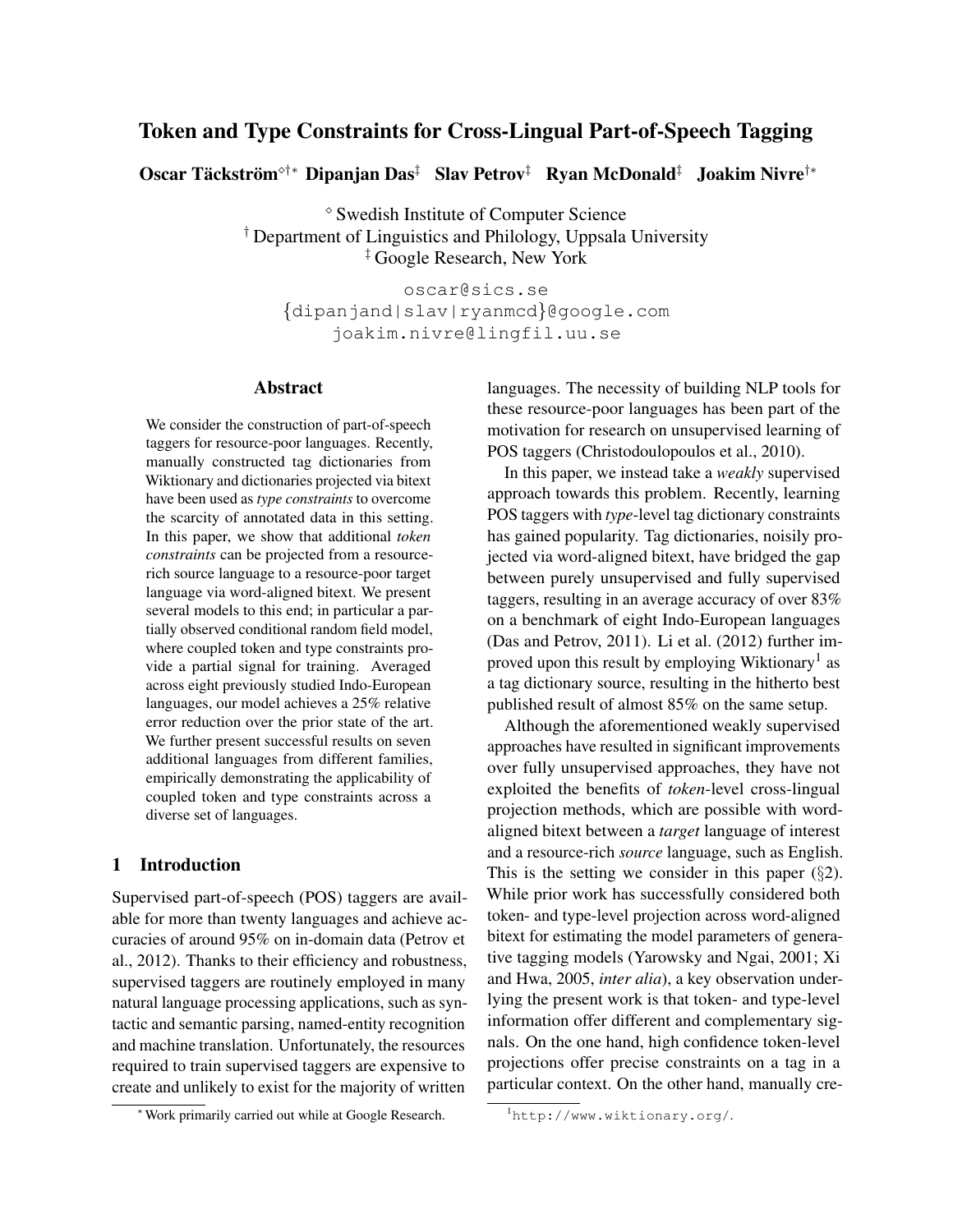# Token and Type Constraints for Cross-Lingual Part-of-Speech Tagging

Oscar Täckström $^{\diamond\dagger *}$  Dipanjan Das $^\ddagger$  Slav Petrov $^\ddagger$  Ryan McDonald $^\ddagger$  Joakim Nivre $^\dagger{}^*$ 

 Swedish Institute of Computer Science † Department of Linguistics and Philology, Uppsala University ‡ Google Research, New York

oscar@sics.se {dipanjand|slav|ryanmcd}@google.com joakim.nivre@lingfil.uu.se

# Abstract

We consider the construction of part-of-speech taggers for resource-poor languages. Recently, manually constructed tag dictionaries from Wiktionary and dictionaries projected via bitext have been used as *type constraints* to overcome the scarcity of annotated data in this setting. In this paper, we show that additional *token constraints* can be projected from a resourcerich source language to a resource-poor target language via word-aligned bitext. We present several models to this end; in particular a partially observed conditional random field model, where coupled token and type constraints provide a partial signal for training. Averaged across eight previously studied Indo-European languages, our model achieves a 25% relative error reduction over the prior state of the art. We further present successful results on seven additional languages from different families, empirically demonstrating the applicability of coupled token and type constraints across a diverse set of languages.

# 1 Introduction

Supervised part-of-speech (POS) taggers are available for more than twenty languages and achieve accuracies of around 95% on in-domain data (Petrov et al., 2012). Thanks to their efficiency and robustness, supervised taggers are routinely employed in many natural language processing applications, such as syntactic and semantic parsing, named-entity recognition and machine translation. Unfortunately, the resources required to train supervised taggers are expensive to create and unlikely to exist for the majority of written languages. The necessity of building NLP tools for these resource-poor languages has been part of the motivation for research on unsupervised learning of POS taggers (Christodoulopoulos et al., 2010).

In this paper, we instead take a *weakly* supervised approach towards this problem. Recently, learning POS taggers with *type*-level tag dictionary constraints has gained popularity. Tag dictionaries, noisily projected via word-aligned bitext, have bridged the gap between purely unsupervised and fully supervised taggers, resulting in an average accuracy of over 83% on a benchmark of eight Indo-European languages (Das and Petrov, 2011). Li et al. (2012) further improved upon this result by employing Wiktionary<sup>1</sup> as a tag dictionary source, resulting in the hitherto best published result of almost 85% on the same setup.

Although the aforementioned weakly supervised approaches have resulted in significant improvements over fully unsupervised approaches, they have not exploited the benefits of *token*-level cross-lingual projection methods, which are possible with wordaligned bitext between a *target* language of interest and a resource-rich *source* language, such as English. This is the setting we consider in this paper  $(\S2)$ . While prior work has successfully considered both token- and type-level projection across word-aligned bitext for estimating the model parameters of generative tagging models (Yarowsky and Ngai, 2001; Xi and Hwa, 2005, *inter alia*), a key observation underlying the present work is that token- and type-level information offer different and complementary signals. On the one hand, high confidence token-level projections offer precise constraints on a tag in a particular context. On the other hand, manually cre-

<sup>∗</sup>Work primarily carried out while at Google Research.

<sup>1</sup>http://www.wiktionary.org/.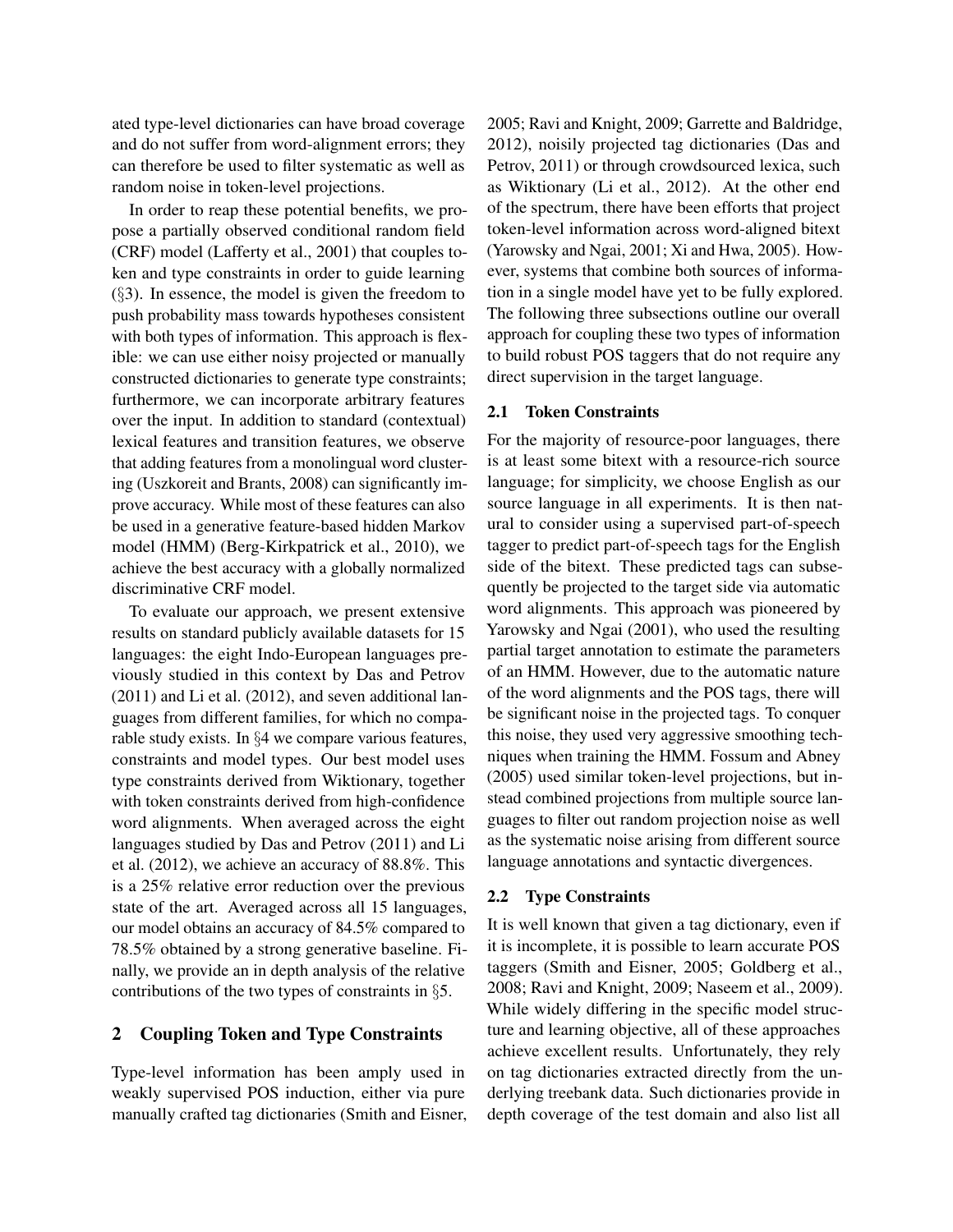ated type-level dictionaries can have broad coverage and do not suffer from word-alignment errors; they can therefore be used to filter systematic as well as random noise in token-level projections.

In order to reap these potential benefits, we propose a partially observed conditional random field (CRF) model (Lafferty et al., 2001) that couples token and type constraints in order to guide learning  $(\S$ 3). In essence, the model is given the freedom to push probability mass towards hypotheses consistent with both types of information. This approach is flexible: we can use either noisy projected or manually constructed dictionaries to generate type constraints; furthermore, we can incorporate arbitrary features over the input. In addition to standard (contextual) lexical features and transition features, we observe that adding features from a monolingual word clustering (Uszkoreit and Brants, 2008) can significantly improve accuracy. While most of these features can also be used in a generative feature-based hidden Markov model (HMM) (Berg-Kirkpatrick et al., 2010), we achieve the best accuracy with a globally normalized discriminative CRF model.

To evaluate our approach, we present extensive results on standard publicly available datasets for 15 languages: the eight Indo-European languages previously studied in this context by Das and Petrov (2011) and Li et al. (2012), and seven additional languages from different families, for which no comparable study exists. In §4 we compare various features, constraints and model types. Our best model uses type constraints derived from Wiktionary, together with token constraints derived from high-confidence word alignments. When averaged across the eight languages studied by Das and Petrov (2011) and Li et al. (2012), we achieve an accuracy of 88.8%. This is a 25% relative error reduction over the previous state of the art. Averaged across all 15 languages, our model obtains an accuracy of 84.5% compared to 78.5% obtained by a strong generative baseline. Finally, we provide an in depth analysis of the relative contributions of the two types of constraints in §5.

# 2 Coupling Token and Type Constraints

Type-level information has been amply used in weakly supervised POS induction, either via pure manually crafted tag dictionaries (Smith and Eisner, 2005; Ravi and Knight, 2009; Garrette and Baldridge, 2012), noisily projected tag dictionaries (Das and Petrov, 2011) or through crowdsourced lexica, such as Wiktionary (Li et al., 2012). At the other end of the spectrum, there have been efforts that project token-level information across word-aligned bitext (Yarowsky and Ngai, 2001; Xi and Hwa, 2005). However, systems that combine both sources of information in a single model have yet to be fully explored. The following three subsections outline our overall approach for coupling these two types of information to build robust POS taggers that do not require any direct supervision in the target language.

#### 2.1 Token Constraints

For the majority of resource-poor languages, there is at least some bitext with a resource-rich source language; for simplicity, we choose English as our source language in all experiments. It is then natural to consider using a supervised part-of-speech tagger to predict part-of-speech tags for the English side of the bitext. These predicted tags can subsequently be projected to the target side via automatic word alignments. This approach was pioneered by Yarowsky and Ngai (2001), who used the resulting partial target annotation to estimate the parameters of an HMM. However, due to the automatic nature of the word alignments and the POS tags, there will be significant noise in the projected tags. To conquer this noise, they used very aggressive smoothing techniques when training the HMM. Fossum and Abney (2005) used similar token-level projections, but instead combined projections from multiple source languages to filter out random projection noise as well as the systematic noise arising from different source language annotations and syntactic divergences.

# 2.2 Type Constraints

It is well known that given a tag dictionary, even if it is incomplete, it is possible to learn accurate POS taggers (Smith and Eisner, 2005; Goldberg et al., 2008; Ravi and Knight, 2009; Naseem et al., 2009). While widely differing in the specific model structure and learning objective, all of these approaches achieve excellent results. Unfortunately, they rely on tag dictionaries extracted directly from the underlying treebank data. Such dictionaries provide in depth coverage of the test domain and also list all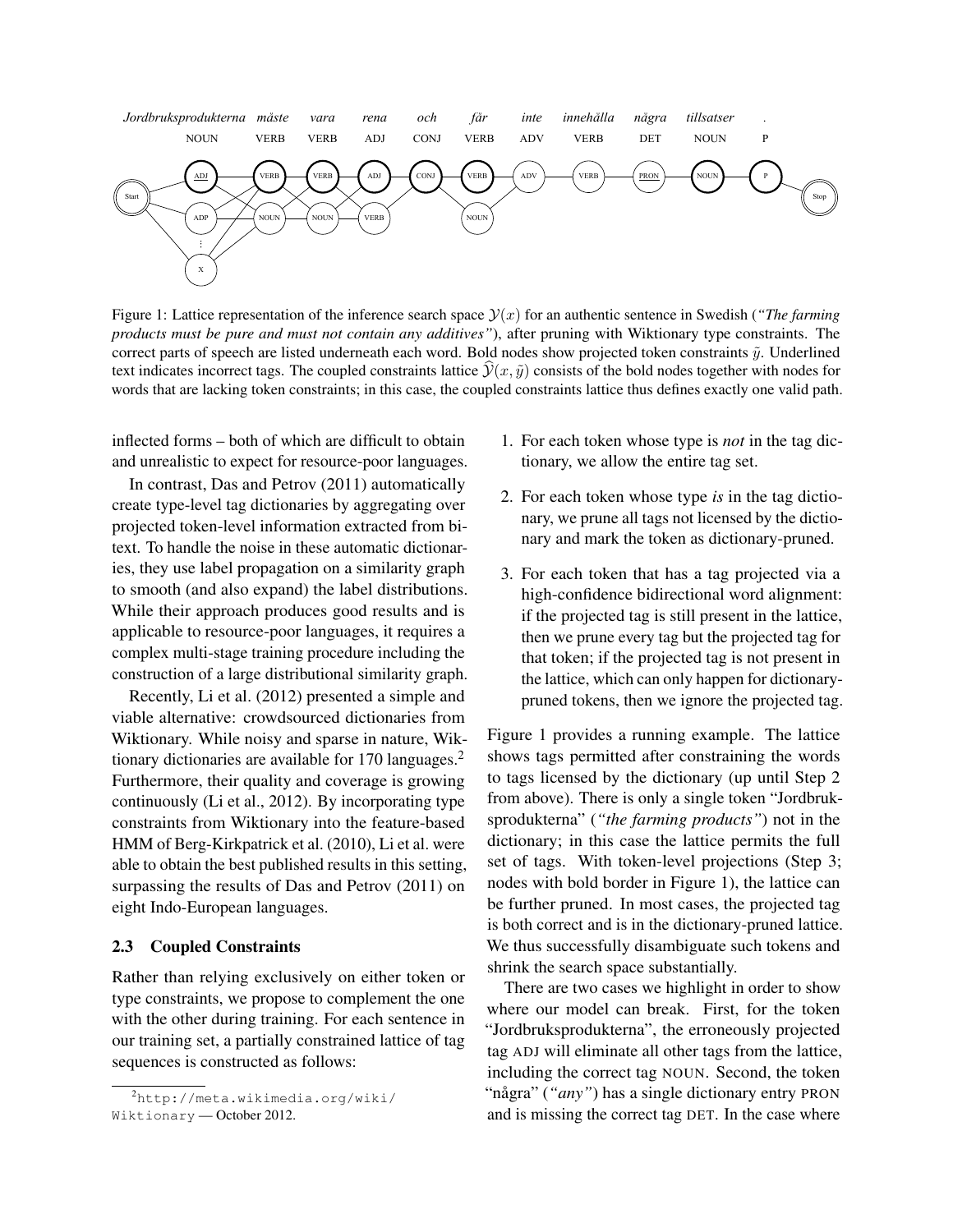

Figure 1: Lattice representation of the inference search space  $\mathcal{Y}(x)$  for an authentic sentence in Swedish (*"The farming products must be pure and must not contain any additives"*), after pruning with Wiktionary type constraints. The correct parts of speech are listed underneath each word. Bold nodes show projected token constraints  $\tilde{v}$ . Underlined text indicates incorrect tags. The coupled constraints lattice  $\mathcal{Y}(x, \tilde{y})$  consists of the bold nodes together with nodes for words that are lacking token constraints; in this case, the coupled constraints lattice thus defines exactly one valid path.

inflected forms – both of which are difficult to obtain and unrealistic to expect for resource-poor languages.

In contrast, Das and Petrov (2011) automatically create type-level tag dictionaries by aggregating over projected token-level information extracted from bitext. To handle the noise in these automatic dictionaries, they use label propagation on a similarity graph to smooth (and also expand) the label distributions. While their approach produces good results and is applicable to resource-poor languages, it requires a complex multi-stage training procedure including the construction of a large distributional similarity graph.

Recently, Li et al. (2012) presented a simple and viable alternative: crowdsourced dictionaries from Wiktionary. While noisy and sparse in nature, Wiktionary dictionaries are available for 170 languages.<sup>2</sup> Furthermore, their quality and coverage is growing continuously (Li et al., 2012). By incorporating type constraints from Wiktionary into the feature-based HMM of Berg-Kirkpatrick et al. (2010), Li et al. were able to obtain the best published results in this setting, surpassing the results of Das and Petrov (2011) on eight Indo-European languages.

### 2.3 Coupled Constraints

Rather than relying exclusively on either token or type constraints, we propose to complement the one with the other during training. For each sentence in our training set, a partially constrained lattice of tag sequences is constructed as follows:

- 1. For each token whose type is *not* in the tag dictionary, we allow the entire tag set.
- 2. For each token whose type *is* in the tag dictionary, we prune all tags not licensed by the dictionary and mark the token as dictionary-pruned.
- 3. For each token that has a tag projected via a high-confidence bidirectional word alignment: if the projected tag is still present in the lattice, then we prune every tag but the projected tag for that token; if the projected tag is not present in the lattice, which can only happen for dictionarypruned tokens, then we ignore the projected tag.

Figure 1 provides a running example. The lattice shows tags permitted after constraining the words to tags licensed by the dictionary (up until Step 2 from above). There is only a single token "Jordbruksprodukterna" (*"the farming products"*) not in the dictionary; in this case the lattice permits the full set of tags. With token-level projections (Step 3; nodes with bold border in Figure 1), the lattice can be further pruned. In most cases, the projected tag is both correct and is in the dictionary-pruned lattice. We thus successfully disambiguate such tokens and shrink the search space substantially.

There are two cases we highlight in order to show where our model can break. First, for the token "Jordbruksprodukterna", the erroneously projected tag ADJ will eliminate all other tags from the lattice, including the correct tag NOUN. Second, the token "några" ("*any*") has a single dictionary entry PRON and is missing the correct tag DET. In the case where

<sup>2</sup>http://meta.wikimedia.org/wiki/ Wiktionary — October 2012.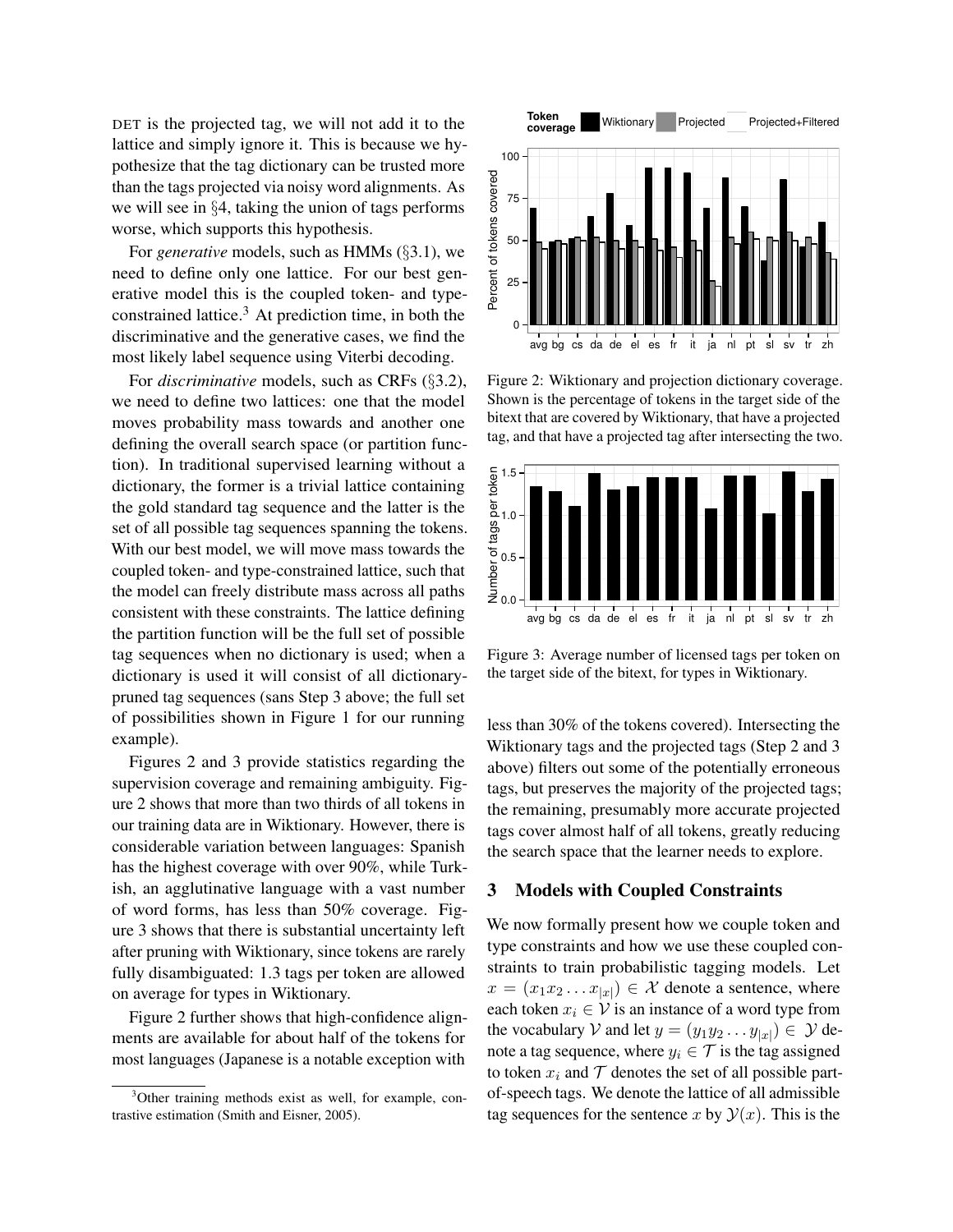DET is the projected tag, we will not add it to the lattice and simply ignore it. This is because we hypothesize that the tag dictionary can be trusted more than the tags projected via noisy word alignments. As we will see in §4, taking the union of tags performs worse, which supports this hypothesis.

For *generative* models, such as HMMs (§3.1), we need to define only one lattice. For our best generative model this is the coupled token- and typeconstrained lattice. $3$  At prediction time, in both the discriminative and the generative cases, we find the most likely label sequence using Viterbi decoding.

For *discriminative* models, such as CRFs (§3.2), we need to define two lattices: one that the model moves probability mass towards and another one defining the overall search space (or partition function). In traditional supervised learning without a dictionary, the former is a trivial lattice containing the gold standard tag sequence and the latter is the set of all possible tag sequences spanning the tokens. With our best model, we will move mass towards the coupled token- and type-constrained lattice, such that the model can freely distribute mass across all paths consistent with these constraints. The lattice defining the partition function will be the full set of possible tag sequences when no dictionary is used; when a dictionary is used it will consist of all dictionarypruned tag sequences (sans Step 3 above; the full set of possibilities shown in Figure 1 for our running example).

Figures 2 and 3 provide statistics regarding the supervision coverage and remaining ambiguity. Figure 2 shows that more than two thirds of all tokens in our training data are in Wiktionary. However, there is considerable variation between languages: Spanish has the highest coverage with over 90%, while Turkish, an agglutinative language with a vast number of word forms, has less than 50% coverage. Figure 3 shows that there is substantial uncertainty left after pruning with Wiktionary, since tokens are rarely fully disambiguated: 1.3 tags per token are allowed on average for types in Wiktionary.

Figure 2 further shows that high-confidence alignments are available for about half of the tokens for most languages (Japanese is a notable exception with



Figure 2: Wiktionary and projection dictionary coverage. Shown is the percentage of tokens in the target side of the bitext that are covered by Wiktionary, that have a projected tag, and that have a projected tag after intersecting the two.



Figure 3: Average number of licensed tags per token on the target side of the bitext, for types in Wiktionary.

less than 30% of the tokens covered). Intersecting the Wiktionary tags and the projected tags (Step 2 and 3 above) filters out some of the potentially erroneous tags, but preserves the majority of the projected tags; the remaining, presumably more accurate projected tags cover almost half of all tokens, greatly reducing the search space that the learner needs to explore.

# 3 Models with Coupled Constraints

We now formally present how we couple token and type constraints and how we use these coupled constraints to train probabilistic tagging models. Let  $x = (x_1 x_2 \dots x_{|x|}) \in \mathcal{X}$  denote a sentence, where each token  $x_i \in V$  is an instance of a word type from the vocabulary V and let  $y = (y_1y_2 \dots y_{|x|}) \in Y$  denote a tag sequence, where  $y_i \in \mathcal{T}$  is the tag assigned to token  $x_i$  and  $\mathcal T$  denotes the set of all possible partof-speech tags. We denote the lattice of all admissible tag sequences for the sentence x by  $\mathcal{Y}(x)$ . This is the

<sup>&</sup>lt;sup>3</sup>Other training methods exist as well, for example, contrastive estimation (Smith and Eisner, 2005).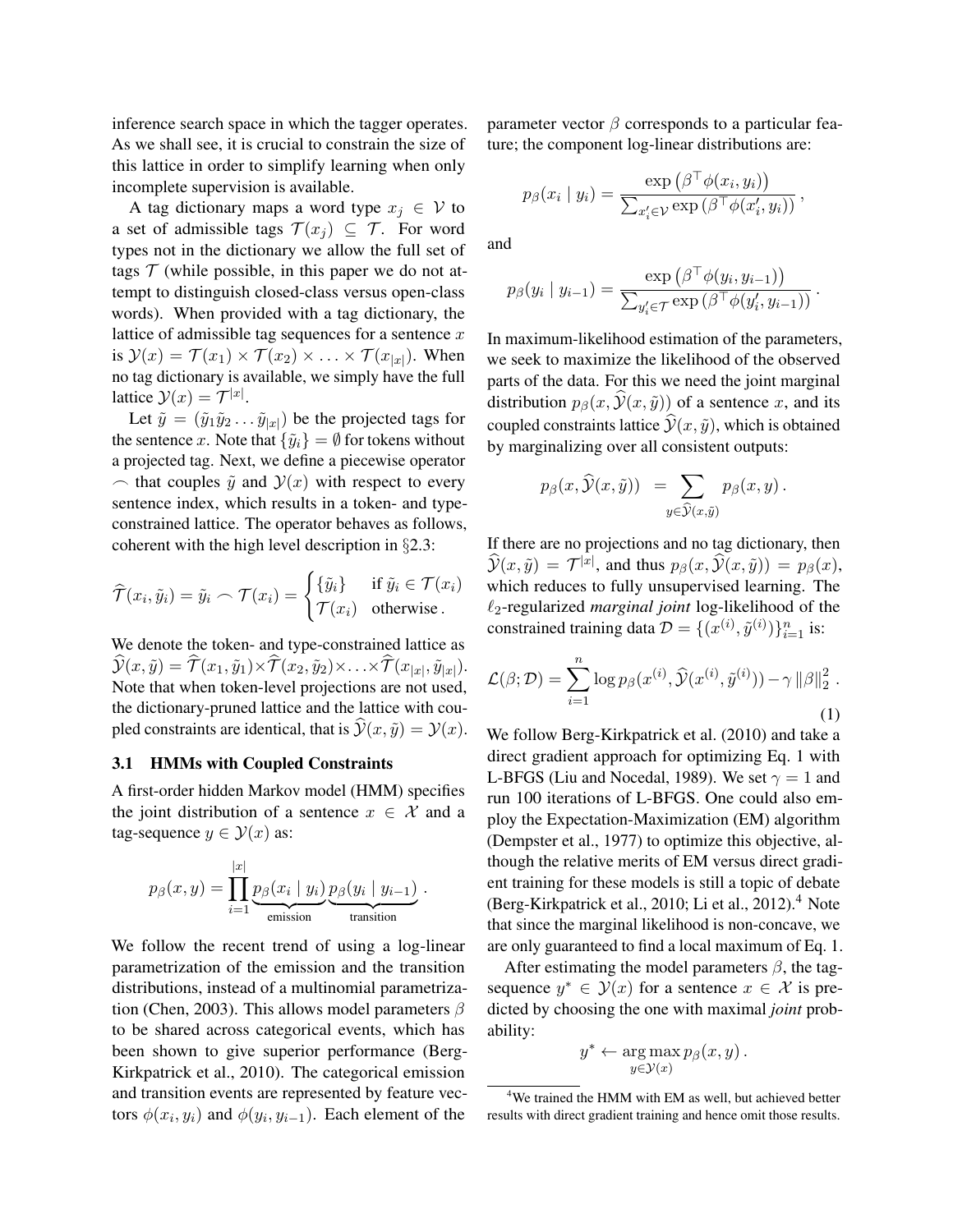inference search space in which the tagger operates. As we shall see, it is crucial to constrain the size of this lattice in order to simplify learning when only incomplete supervision is available.

A tag dictionary maps a word type  $x_i \in V$  to a set of admissible tags  $\mathcal{T}(x_j) \subseteq \mathcal{T}$ . For word types not in the dictionary we allow the full set of tags  $\mathcal T$  (while possible, in this paper we do not attempt to distinguish closed-class versus open-class words). When provided with a tag dictionary, the lattice of admissible tag sequences for a sentence  $x$ is  $\mathcal{Y}(x) = \mathcal{T}(x_1) \times \mathcal{T}(x_2) \times \ldots \times \mathcal{T}(x_{|x|})$ . When no tag dictionary is available, we simply have the full lattice  $\mathcal{Y}(x) = \mathcal{T}^{|x|}$ .

Let  $\tilde{y} = (\tilde{y}_1 \tilde{y}_2 \dots \tilde{y}_{|x|})$  be the projected tags for the sentence x. Note that  $\{\tilde{y}_i\} = \emptyset$  for tokens without a projected tag. Next, we define a piecewise operator  $\sim$  that couples  $\tilde{y}$  and  $\mathcal{Y}(x)$  with respect to every sentence index, which results in a token- and typeconstrained lattice. The operator behaves as follows, coherent with the high level description in §2.3:

$$
\widehat{\mathcal{T}}(x_i, \tilde{y}_i) = \tilde{y}_i \frown \mathcal{T}(x_i) = \begin{cases} {\{\tilde{y}_i\}} & \text{if } \tilde{y}_i \in \mathcal{T}(x_i) \\ \mathcal{T}(x_i) & \text{otherwise.} \end{cases}
$$

We denote the token- and type-constrained lattice as  $\mathcal{Y}(x,\tilde{y}) = \mathcal{T}(x_1,\tilde{y}_1) \times \mathcal{T}(x_2,\tilde{y}_2) \times \ldots \times \mathcal{T}(x_{|x|},\tilde{y}_{|x|}).$ Note that when token-level projections are not used, the dictionary-pruned lattice and the lattice with coupled constraints are identical, that is  $\hat{y}(x, \tilde{y}) = y(x)$ .

#### 3.1 HMMs with Coupled Constraints

A first-order hidden Markov model (HMM) specifies the joint distribution of a sentence  $x \in \mathcal{X}$  and a tag-sequence  $y \in \mathcal{Y}(x)$  as:

$$
p_{\beta}(x, y) = \prod_{i=1}^{|x|} \underbrace{p_{\beta}(x_i \mid y_i)}_{\text{emission}} \underbrace{p_{\beta}(y_i \mid y_{i-1})}_{\text{transition}}
$$

.

We follow the recent trend of using a log-linear parametrization of the emission and the transition distributions, instead of a multinomial parametrization (Chen, 2003). This allows model parameters  $\beta$ to be shared across categorical events, which has been shown to give superior performance (Berg-Kirkpatrick et al., 2010). The categorical emission and transition events are represented by feature vectors  $\phi(x_i, y_i)$  and  $\phi(y_i, y_{i-1})$ . Each element of the

parameter vector  $\beta$  corresponds to a particular feature; the component log-linear distributions are:

$$
p_{\beta}(x_i \mid y_i) = \frac{\exp (\beta^{\top} \phi(x_i, y_i))}{\sum_{x_i' \in \mathcal{V}} \exp (\beta^{\top} \phi(x_i', y_i))},
$$

and

$$
p_{\beta}(y_i \mid y_{i-1}) = \frac{\exp\left(\beta^{\top} \phi(y_i, y_{i-1})\right)}{\sum_{y'_i \in \mathcal{T}} \exp\left(\beta^{\top} \phi(y'_i, y_{i-1})\right)}.
$$

In maximum-likelihood estimation of the parameters, we seek to maximize the likelihood of the observed parts of the data. For this we need the joint marginal distribution  $p_\beta(x, \hat{y}(x, \hat{y}))$  of a sentence x, and its coupled constraints lattice  $\hat{y}(x, \tilde{y})$ , which is obtained by marginalizing over all consistent outputs:

$$
p_{\beta}(x,\widehat{\mathcal{Y}}(x,\tilde{y})) = \sum_{y \in \widehat{\mathcal{Y}}(x,\tilde{y})} p_{\beta}(x,y).
$$

If there are no projections and no tag dictionary, then  $\widehat{\mathcal{Y}}(x,\tilde{y}) = \mathcal{T}^{|x|}$ , and thus  $p_\beta(x,\widehat{\mathcal{Y}}(x,\tilde{y})) = p_\beta(x)$ , which reduces to fully unsupervised learning. The  $\ell_2$ -regularized *marginal joint* log-likelihood of the constrained training data  $\mathcal{D} = \{(x^{(i)}, \tilde{y}^{(i)})\}_{i=1}^n$  is:

$$
\mathcal{L}(\beta; \mathcal{D}) = \sum_{i=1}^{n} \log p_{\beta}(x^{(i)}, \widehat{\mathcal{Y}}(x^{(i)}, \widetilde{y}^{(i)})) - \gamma ||\beta||_2^2.
$$
\n(1)

We follow Berg-Kirkpatrick et al. (2010) and take a direct gradient approach for optimizing Eq. 1 with L-BFGS (Liu and Nocedal, 1989). We set  $\gamma = 1$  and run 100 iterations of L-BFGS. One could also employ the Expectation-Maximization (EM) algorithm (Dempster et al., 1977) to optimize this objective, although the relative merits of EM versus direct gradient training for these models is still a topic of debate (Berg-Kirkpatrick et al., 2010; Li et al., 2012). $4$  Note that since the marginal likelihood is non-concave, we are only guaranteed to find a local maximum of Eq. 1.

After estimating the model parameters  $\beta$ , the tagsequence  $y^* \in \mathcal{Y}(x)$  for a sentence  $x \in \mathcal{X}$  is predicted by choosing the one with maximal *joint* probability:

$$
y^* \leftarrow \argmax_{y \in \mathcal{Y}(x)} p_{\beta}(x, y).
$$

<sup>&</sup>lt;sup>4</sup>We trained the HMM with EM as well, but achieved better results with direct gradient training and hence omit those results.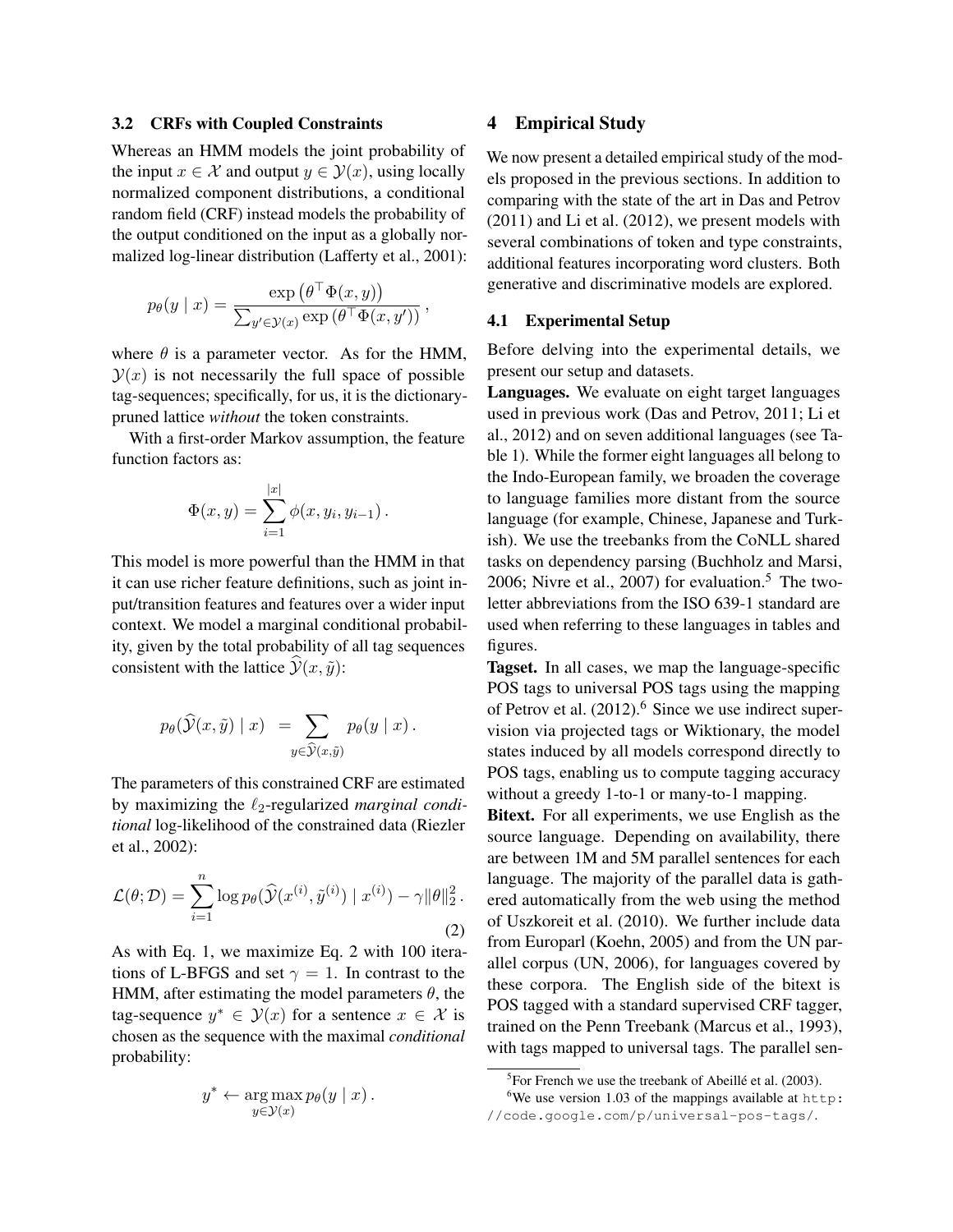#### 3.2 CRFs with Coupled Constraints

Whereas an HMM models the joint probability of the input  $x \in \mathcal{X}$  and output  $y \in \mathcal{Y}(x)$ , using locally normalized component distributions, a conditional random field (CRF) instead models the probability of the output conditioned on the input as a globally normalized log-linear distribution (Lafferty et al., 2001):

$$
p_{\theta}(y \mid x) = \frac{\exp (\theta^{\top} \Phi(x, y))}{\sum_{y' \in \mathcal{Y}(x)} \exp (\theta^{\top} \Phi(x, y'))},
$$

where  $\theta$  is a parameter vector. As for the HMM,  $\mathcal{Y}(x)$  is not necessarily the full space of possible tag-sequences; specifically, for us, it is the dictionarypruned lattice *without* the token constraints.

With a first-order Markov assumption, the feature function factors as:

$$
\Phi(x, y) = \sum_{i=1}^{|x|} \phi(x, y_i, y_{i-1}).
$$

This model is more powerful than the HMM in that it can use richer feature definitions, such as joint input/transition features and features over a wider input context. We model a marginal conditional probability, given by the total probability of all tag sequences consistent with the lattice  $\hat{y}(x, \tilde{y})$ :

$$
p_{\theta}(\widehat{\mathcal{Y}}(x,\tilde{y}) | x) = \sum_{y \in \widehat{\mathcal{Y}}(x,\tilde{y})} p_{\theta}(y | x).
$$

The parameters of this constrained CRF are estimated by maximizing the  $\ell_2$ -regularized *marginal conditional* log-likelihood of the constrained data (Riezler et al., 2002):

$$
\mathcal{L}(\theta; \mathcal{D}) = \sum_{i=1}^{n} \log p_{\theta}(\widehat{\mathcal{Y}}(x^{(i)}, \tilde{y}^{(i)}) | x^{(i)}) - \gamma ||\theta||_2^2.
$$
\n(2)

As with Eq. 1, we maximize Eq. 2 with 100 iterations of L-BFGS and set  $\gamma = 1$ . In contrast to the HMM, after estimating the model parameters  $\theta$ , the tag-sequence  $y^* \in \mathcal{Y}(x)$  for a sentence  $x \in \mathcal{X}$  is chosen as the sequence with the maximal *conditional* probability:

$$
y^* \leftarrow \argmax_{y \in \mathcal{Y}(x)} p_{\theta}(y \mid x).
$$

# 4 Empirical Study

We now present a detailed empirical study of the models proposed in the previous sections. In addition to comparing with the state of the art in Das and Petrov (2011) and Li et al. (2012), we present models with several combinations of token and type constraints, additional features incorporating word clusters. Both generative and discriminative models are explored.

#### 4.1 Experimental Setup

Before delving into the experimental details, we present our setup and datasets.

Languages. We evaluate on eight target languages used in previous work (Das and Petrov, 2011; Li et al., 2012) and on seven additional languages (see Table 1). While the former eight languages all belong to the Indo-European family, we broaden the coverage to language families more distant from the source language (for example, Chinese, Japanese and Turkish). We use the treebanks from the CoNLL shared tasks on dependency parsing (Buchholz and Marsi, 2006; Nivre et al., 2007) for evaluation.<sup>5</sup> The twoletter abbreviations from the ISO 639-1 standard are used when referring to these languages in tables and figures.

Tagset. In all cases, we map the language-specific POS tags to universal POS tags using the mapping of Petrov et al.  $(2012)$ .<sup>6</sup> Since we use indirect supervision via projected tags or Wiktionary, the model states induced by all models correspond directly to POS tags, enabling us to compute tagging accuracy without a greedy 1-to-1 or many-to-1 mapping.

Bitext. For all experiments, we use English as the source language. Depending on availability, there are between 1M and 5M parallel sentences for each language. The majority of the parallel data is gathered automatically from the web using the method of Uszkoreit et al. (2010). We further include data from Europarl (Koehn, 2005) and from the UN parallel corpus (UN, 2006), for languages covered by these corpora. The English side of the bitext is POS tagged with a standard supervised CRF tagger, trained on the Penn Treebank (Marcus et al., 1993), with tags mapped to universal tags. The parallel sen-

 ${}^{5}$ For French we use the treebank of Abeillé et al. (2003).

 $6$ We use version 1.03 of the mappings available at http: //code.google.com/p/universal-pos-tags/.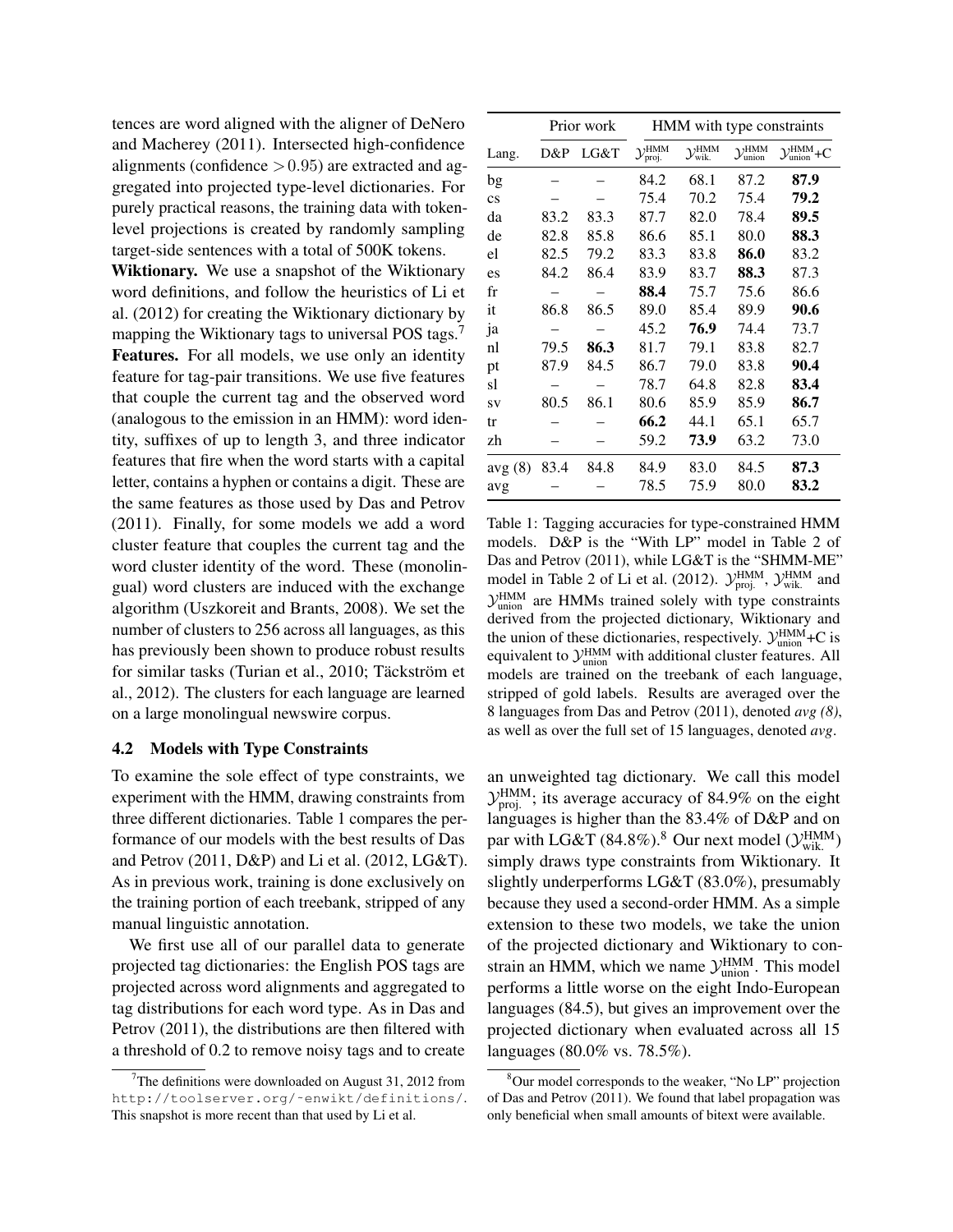tences are word aligned with the aligner of DeNero and Macherey (2011). Intersected high-confidence alignments (confidence  $> 0.95$ ) are extracted and aggregated into projected type-level dictionaries. For purely practical reasons, the training data with tokenlevel projections is created by randomly sampling target-side sentences with a total of 500K tokens.

Wiktionary. We use a snapshot of the Wiktionary word definitions, and follow the heuristics of Li et al. (2012) for creating the Wiktionary dictionary by mapping the Wiktionary tags to universal POS tags.<sup>7</sup> Features. For all models, we use only an identity feature for tag-pair transitions. We use five features that couple the current tag and the observed word (analogous to the emission in an HMM): word identity, suffixes of up to length 3, and three indicator features that fire when the word starts with a capital letter, contains a hyphen or contains a digit. These are the same features as those used by Das and Petrov (2011). Finally, for some models we add a word cluster feature that couples the current tag and the word cluster identity of the word. These (monolingual) word clusters are induced with the exchange algorithm (Uszkoreit and Brants, 2008). We set the number of clusters to 256 across all languages, as this has previously been shown to produce robust results for similar tasks (Turian et al., 2010; Täckström et al., 2012). The clusters for each language are learned on a large monolingual newswire corpus.

# 4.2 Models with Type Constraints

To examine the sole effect of type constraints, we experiment with the HMM, drawing constraints from three different dictionaries. Table 1 compares the performance of our models with the best results of Das and Petrov (2011, D&P) and Li et al. (2012, LG&T). As in previous work, training is done exclusively on the training portion of each treebank, stripped of any manual linguistic annotation.

We first use all of our parallel data to generate projected tag dictionaries: the English POS tags are projected across word alignments and aggregated to tag distributions for each word type. As in Das and Petrov (2011), the distributions are then filtered with a threshold of 0.2 to remove noisy tags and to create

|                        |      | Prior work | HMM with type constraints          |                                          |                                           |                                              |  |
|------------------------|------|------------|------------------------------------|------------------------------------------|-------------------------------------------|----------------------------------------------|--|
| Lang.                  | D&P  | LG&T       | $\mathcal{Y}_{proj.}^{\text{HMM}}$ | $\mathcal{Y}^{\text{HMM}}_{\text{wik.}}$ | $\mathcal{Y}_{\text{union}}^{\text{HMM}}$ | $\mathcal{Y}_{\text{union}}^{\text{HMM}}$ +C |  |
| bg                     |      |            | 84.2                               | 68.1                                     | 87.2                                      | 87.9                                         |  |
| $\overline{\text{cs}}$ |      |            | 75.4                               | 70.2                                     | 75.4                                      | 79.2                                         |  |
| da                     | 83.2 | 83.3       | 87.7                               | 82.0                                     | 78.4                                      | 89.5                                         |  |
| de                     | 82.8 | 85.8       | 86.6                               | 85.1                                     | 80.0                                      | 88.3                                         |  |
| el                     | 82.5 | 79.2       | 83.3                               | 83.8                                     | 86.0                                      | 83.2                                         |  |
| es                     | 84.2 | 86.4       | 83.9                               | 83.7                                     | 88.3                                      | 87.3                                         |  |
| fr                     |      |            | 88.4                               | 75.7                                     | 75.6                                      | 86.6                                         |  |
| it                     | 86.8 | 86.5       | 89.0                               | 85.4                                     | 89.9                                      | 90.6                                         |  |
| ja                     |      |            | 45.2                               | 76.9                                     | 74.4                                      | 73.7                                         |  |
| nl                     | 79.5 | 86.3       | 81.7                               | 79.1                                     | 83.8                                      | 82.7                                         |  |
| pt                     | 87.9 | 84.5       | 86.7                               | 79.0                                     | 83.8                                      | 90.4                                         |  |
| sl                     |      |            | 78.7                               | 64.8                                     | 82.8                                      | 83.4                                         |  |
| SV                     | 80.5 | 86.1       | 80.6                               | 85.9                                     | 85.9                                      | 86.7                                         |  |
| tr                     |      |            | 66.2                               | 44.1                                     | 65.1                                      | 65.7                                         |  |
| zh                     |      |            | 59.2                               | 73.9                                     | 63.2                                      | 73.0                                         |  |
| avg(8)                 | 83.4 | 84.8       | 84.9                               | 83.0                                     | 84.5                                      | 87.3                                         |  |
| avg                    |      |            | 78.5                               | 75.9                                     | 80.0                                      | 83.2                                         |  |

Table 1: Tagging accuracies for type-constrained HMM models. D&P is the "With LP" model in Table 2 of Das and Petrov (2011), while LG&T is the "SHMM-ME" model in Table 2 of Li et al. (2012).  $\mathcal{Y}_{\text{proj.}}^{\text{HMMM}}$ ,  $\mathcal{Y}_{\text{wik.}}^{\text{HMMM}}$  and  $\mathcal{Y}_{\text{union}}^{\text{HMM}}$  are HMMs trained solely with type constraints derived from the projected dictionary, Wiktionary and the union of these dictionaries, respectively.  $\mathcal{Y}_{\text{union}}^{\text{HMM}}$ +C is equivalent to  $\mathcal{Y}^{\text{HMM}}_{\text{union}}$  with additional cluster features. All models are trained on the treebank of each language, stripped of gold labels. Results are averaged over the 8 languages from Das and Petrov (2011), denoted *avg (8)*, as well as over the full set of 15 languages, denoted *avg*.

an unweighted tag dictionary. We call this model  $\mathcal{Y}_{\text{proj.}}^{\text{HMM}}$ ; its average accuracy of 84.9% on the eight languages is higher than the 83.4% of D&P and on par with LG&T (84.8%).<sup>8</sup> Our next model ( $\mathcal{Y}^\text{HMM}_\text{wik.}$ ) simply draws type constraints from Wiktionary. It slightly underperforms LG&T (83.0%), presumably because they used a second-order HMM. As a simple extension to these two models, we take the union of the projected dictionary and Wiktionary to constrain an HMM, which we name  $\mathcal{Y}_{\text{union}}^{\text{HMM}}$ . This model performs a little worse on the eight Indo-European languages (84.5), but gives an improvement over the projected dictionary when evaluated across all 15 languages (80.0% vs. 78.5%).

The definitions were downloaded on August 31, 2012 from http://toolserver.org/˜enwikt/definitions/. This snapshot is more recent than that used by Li et al.

<sup>&</sup>lt;sup>8</sup>Our model corresponds to the weaker, "No LP" projection of Das and Petrov (2011). We found that label propagation was only beneficial when small amounts of bitext were available.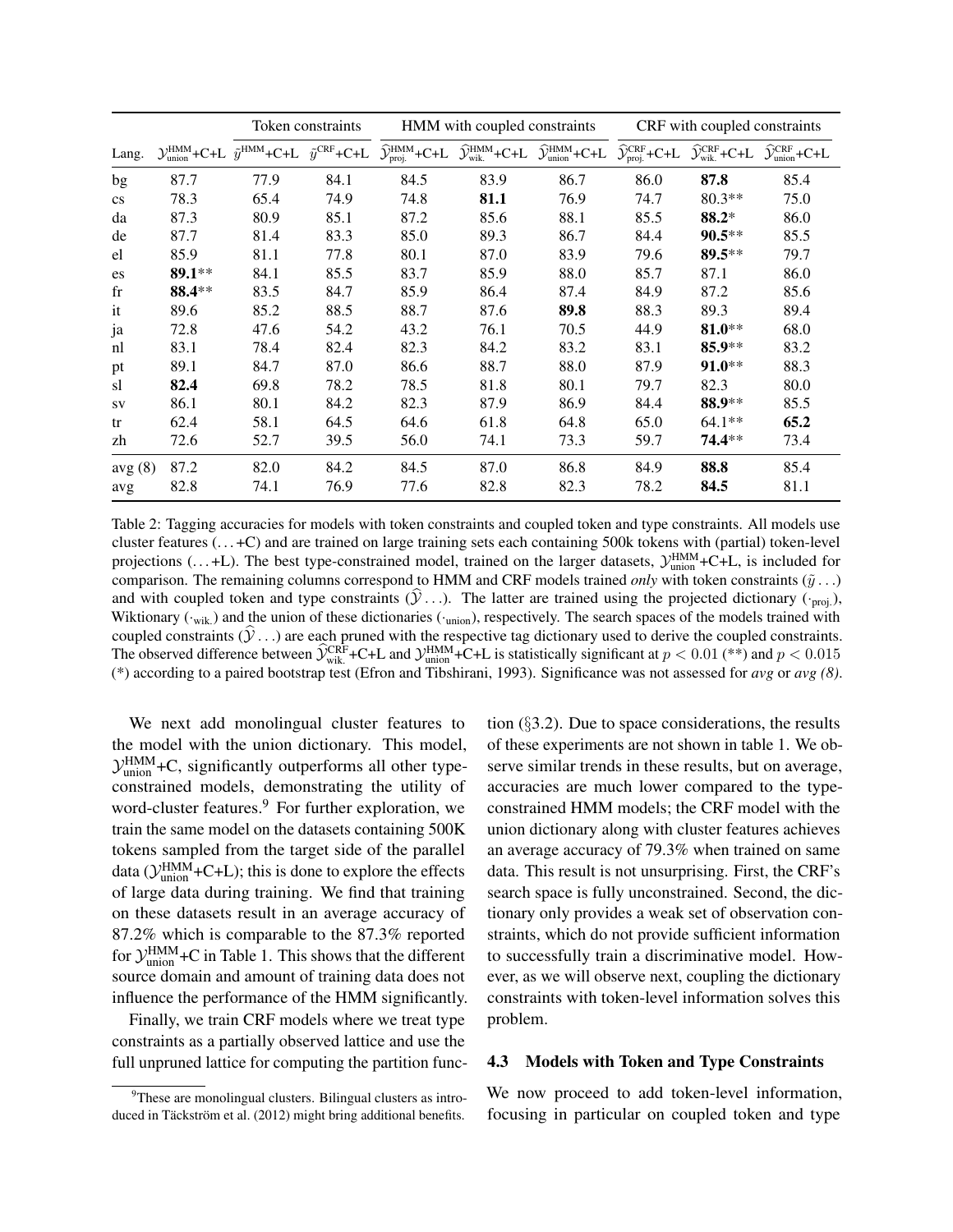|                        |                                                | Token constraints                                           |      | HMM with coupled constraints                             |                                                         |                                                          | CRF with coupled constraints                                   |                                                         |                                                          |
|------------------------|------------------------------------------------|-------------------------------------------------------------|------|----------------------------------------------------------|---------------------------------------------------------|----------------------------------------------------------|----------------------------------------------------------------|---------------------------------------------------------|----------------------------------------------------------|
| Lang.                  | $\mathcal{Y}_{\text{union}}^{\text{HMM}}$ +C+L | $\tilde{y}^{\text{HMM}}$ +C+L $\tilde{y}^{\text{CRF}}$ +C+L |      | $\widehat{\mathcal{Y}}^{\text{HMM}}_{\text{proj.}}$ +C+L | $\widehat{\mathcal{Y}}^{\text{HMM}}_{\text{wik.}}$ +C+L | $\widehat{\mathcal{Y}}^{\text{HMM}}_{\text{union}}$ +C+L | $\widehat{\mathcal{Y}}^{\text{CRF}}_{\text{proj.}}\text{+C+L}$ | $\widehat{\mathcal{Y}}_{\text{wik.}}^{\text{CRF}}$ +C+L | $\widehat{\mathcal{Y}}_{\text{union}}^{\text{CRF}}$ +C+L |
| bg                     | 87.7                                           | 77.9                                                        | 84.1 | 84.5                                                     | 83.9                                                    | 86.7                                                     | 86.0                                                           | 87.8                                                    | 85.4                                                     |
| $\mathbf{c}\mathbf{s}$ | 78.3                                           | 65.4                                                        | 74.9 | 74.8                                                     | 81.1                                                    | 76.9                                                     | 74.7                                                           | $80.3**$                                                | 75.0                                                     |
| da                     | 87.3                                           | 80.9                                                        | 85.1 | 87.2                                                     | 85.6                                                    | 88.1                                                     | 85.5                                                           | 88.2*                                                   | 86.0                                                     |
| de                     | 87.7                                           | 81.4                                                        | 83.3 | 85.0                                                     | 89.3                                                    | 86.7                                                     | 84.4                                                           | $90.5***$                                               | 85.5                                                     |
| el                     | 85.9                                           | 81.1                                                        | 77.8 | 80.1                                                     | 87.0                                                    | 83.9                                                     | 79.6                                                           | 89.5**                                                  | 79.7                                                     |
| es                     | $89.1**$                                       | 84.1                                                        | 85.5 | 83.7                                                     | 85.9                                                    | 88.0                                                     | 85.7                                                           | 87.1                                                    | 86.0                                                     |
| $_{\rm fr}$            | 88.4**                                         | 83.5                                                        | 84.7 | 85.9                                                     | 86.4                                                    | 87.4                                                     | 84.9                                                           | 87.2                                                    | 85.6                                                     |
| it                     | 89.6                                           | 85.2                                                        | 88.5 | 88.7                                                     | 87.6                                                    | 89.8                                                     | 88.3                                                           | 89.3                                                    | 89.4                                                     |
| ja                     | 72.8                                           | 47.6                                                        | 54.2 | 43.2                                                     | 76.1                                                    | 70.5                                                     | 44.9                                                           | 81.0**                                                  | 68.0                                                     |
| nl                     | 83.1                                           | 78.4                                                        | 82.4 | 82.3                                                     | 84.2                                                    | 83.2                                                     | 83.1                                                           | 85.9**                                                  | 83.2                                                     |
| pt                     | 89.1                                           | 84.7                                                        | 87.0 | 86.6                                                     | 88.7                                                    | 88.0                                                     | 87.9                                                           | 91.0**                                                  | 88.3                                                     |
| sl                     | 82.4                                           | 69.8                                                        | 78.2 | 78.5                                                     | 81.8                                                    | 80.1                                                     | 79.7                                                           | 82.3                                                    | 80.0                                                     |
| SV                     | 86.1                                           | 80.1                                                        | 84.2 | 82.3                                                     | 87.9                                                    | 86.9                                                     | 84.4                                                           | 88.9**                                                  | 85.5                                                     |
| tr                     | 62.4                                           | 58.1                                                        | 64.5 | 64.6                                                     | 61.8                                                    | 64.8                                                     | 65.0                                                           | 64.1**                                                  | 65.2                                                     |
| zh                     | 72.6                                           | 52.7                                                        | 39.5 | 56.0                                                     | 74.1                                                    | 73.3                                                     | 59.7                                                           | 74.4**                                                  | 73.4                                                     |
| avg(8)                 | 87.2                                           | 82.0                                                        | 84.2 | 84.5                                                     | 87.0                                                    | 86.8                                                     | 84.9                                                           | 88.8                                                    | 85.4                                                     |
| avg                    | 82.8                                           | 74.1                                                        | 76.9 | 77.6                                                     | 82.8                                                    | 82.3                                                     | 78.2                                                           | 84.5                                                    | 81.1                                                     |

Table 2: Tagging accuracies for models with token constraints and coupled token and type constraints. All models use cluster features  $(\dots + C)$  and are trained on large training sets each containing 500k tokens with (partial) token-level projections (...+L). The best type-constrained model, trained on the larger datasets,  $\mathcal{Y}_{union}^{HMM}$ +C+L, is included for comparison. The remaining columns correspond to HMM and CRF models trained *only* with token constraints  $(\tilde{y} \dots)$ and with coupled token and type constraints  $(\hat{y}, \cdot)$ . The latter are trained using the projected dictionary ( $\cdot_{\text{proj.}}$ ), Wiktionary (·wik.) and the union of these dictionaries (·union), respectively. The search spaces of the models trained with coupled constraints  $(\mathcal{Y}, \ldots)$  are each pruned with the respective tag dictionary used to derive the coupled constraints. The observed difference between  $\hat{\mathcal{Y}}_{\text{wik}}^{\text{CRF}}$  +C+L and  $\mathcal{Y}_{\text{union}}^{\text{HMM}}$ +C+L is statistically significant at  $p < 0.01$  (\*\*) and  $p < 0.015$ (\*) according to a paired bootstrap test (Efron and Tibshirani, 1993). Significance was not assessed for *avg* or *avg (8)*.

We next add monolingual cluster features to the model with the union dictionary. This model,  $\mathcal{Y}_{\text{union}}^{\text{HMM}}$ +C, significantly outperforms all other typeconstrained models, demonstrating the utility of word-cluster features.<sup>9</sup> For further exploration, we train the same model on the datasets containing 500K tokens sampled from the target side of the parallel data ( $\mathcal{Y}_{\text{union}}^{\text{HMM}}$ +C+L); this is done to explore the effects of large data during training. We find that training on these datasets result in an average accuracy of 87.2% which is comparable to the 87.3% reported for  $\mathcal{Y}_{\text{union}}^{\text{HMM}}$  +C in Table 1. This shows that the different source domain and amount of training data does not influence the performance of the HMM significantly.

Finally, we train CRF models where we treat type constraints as a partially observed lattice and use the full unpruned lattice for computing the partition function (§3.2). Due to space considerations, the results of these experiments are not shown in table 1. We observe similar trends in these results, but on average, accuracies are much lower compared to the typeconstrained HMM models; the CRF model with the union dictionary along with cluster features achieves an average accuracy of 79.3% when trained on same data. This result is not unsurprising. First, the CRF's search space is fully unconstrained. Second, the dictionary only provides a weak set of observation constraints, which do not provide sufficient information to successfully train a discriminative model. However, as we will observe next, coupling the dictionary constraints with token-level information solves this problem.

#### 4.3 Models with Token and Type Constraints

We now proceed to add token-level information, focusing in particular on coupled token and type

 $9$ These are monolingual clusters. Bilingual clusters as introduced in Täckström et al. (2012) might bring additional benefits.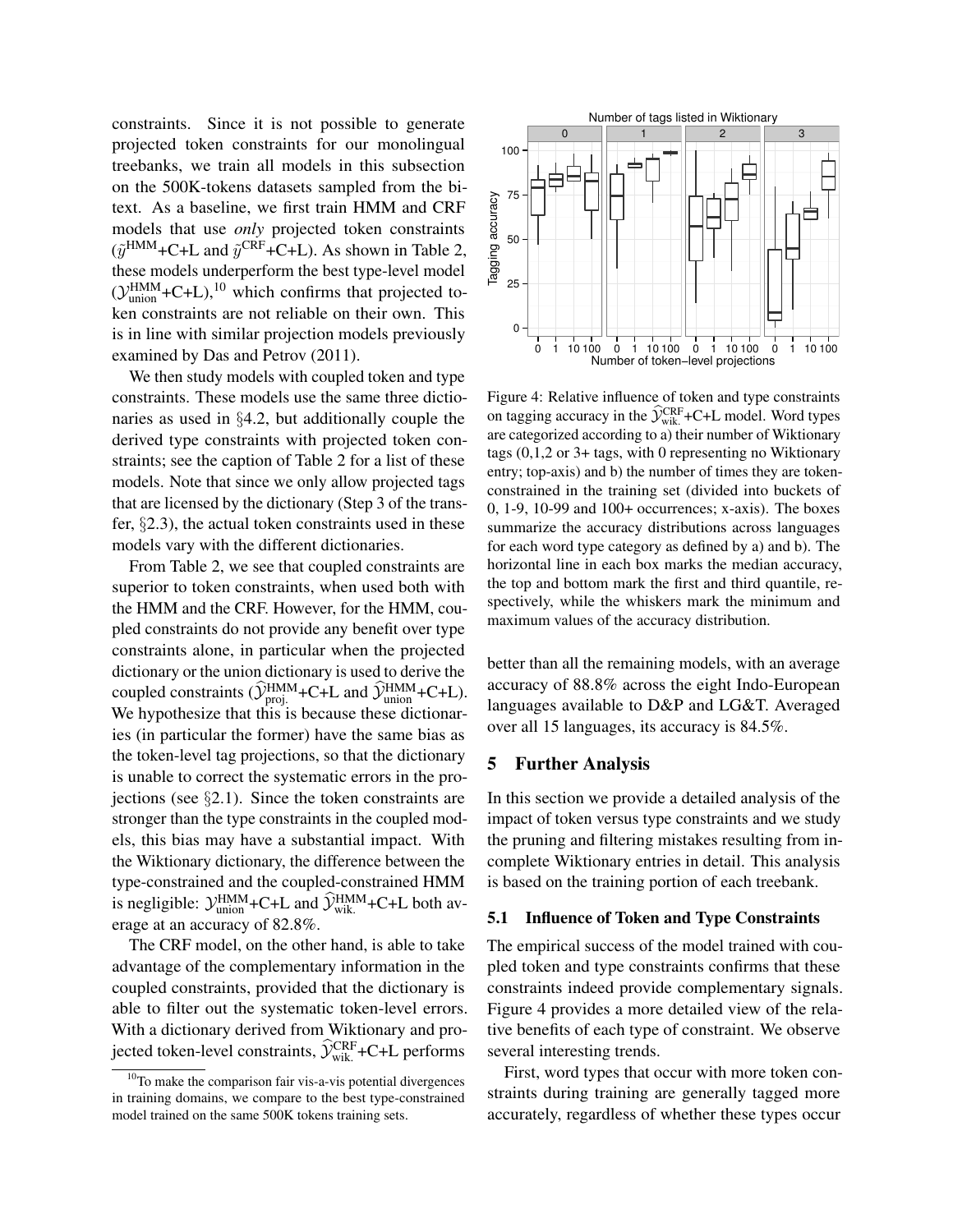constraints. Since it is not possible to generate projected token constraints for our monolingual treebanks, we train all models in this subsection on the 500K-tokens datasets sampled from the bitext. As a baseline, we first train HMM and CRF models that use *only* projected token constraints  $(\tilde{y}^{\text{HMM}} + \text{C+L} \text{ and } \tilde{y}^{\text{CRF}} + \text{C+L})$ . As shown in Table 2, these models underperform the best type-level model  $(\mathcal{Y}_{union}^{HMM}+C+L),^{10}$  which confirms that projected token constraints are not reliable on their own. This is in line with similar projection models previously examined by Das and Petrov (2011).

We then study models with coupled token and type constraints. These models use the same three dictionaries as used in §4.2, but additionally couple the derived type constraints with projected token constraints; see the caption of Table 2 for a list of these models. Note that since we only allow projected tags that are licensed by the dictionary (Step 3 of the transfer, §2.3), the actual token constraints used in these models vary with the different dictionaries.

From Table 2, we see that coupled constraints are superior to token constraints, when used both with the HMM and the CRF. However, for the HMM, coupled constraints do not provide any benefit over type constraints alone, in particular when the projected dictionary or the union dictionary is used to derive the coupled constraints  $(\hat{\mathcal{Y}}_{\text{proj}}^{\text{HMM}} + \text{C+L}$  and  $\hat{\mathcal{Y}}_{\text{union}}^{\text{HMM}} + \text{C+L}$ ). We hypothesize that this is because these dictionaries (in particular the former) have the same bias as the token-level tag projections, so that the dictionary is unable to correct the systematic errors in the projections (see  $\S2.1$ ). Since the token constraints are stronger than the type constraints in the coupled models, this bias may have a substantial impact. With the Wiktionary dictionary, the difference between the type-constrained and the coupled-constrained HMM is negligible:  $\mathcal{Y}_{\text{union}}^{\text{HMM}} + \text{C+L}$  and  $\widehat{\mathcal{Y}}_{\text{wik}}^{\text{HMM}} + \text{C+L}$  both average at an accuracy of 82.8%.

The CRF model, on the other hand, is able to take advantage of the complementary information in the coupled constraints, provided that the dictionary is able to filter out the systematic token-level errors. With a dictionary derived from Wiktionary and projected token-level constraints,  $\hat{y}_{\text{wik}}^{\text{CRF}}$ +C+L performs



Figure 4: Relative influence of token and type constraints on tagging accuracy in the  $\hat{\mathcal{Y}}_{\text{wik}}^{\text{CRF}}$  +C+L model. Word types are categorized according to a) their number of Wiktionary tags (0,1,2 or 3+ tags, with 0 representing no Wiktionary entry; top-axis) and b) the number of times they are tokenconstrained in the training set (divided into buckets of 0, 1-9, 10-99 and 100+ occurrences; x-axis). The boxes summarize the accuracy distributions across languages for each word type category as defined by a) and b). The horizontal line in each box marks the median accuracy, the top and bottom mark the first and third quantile, respectively, while the whiskers mark the minimum and maximum values of the accuracy distribution.

better than all the remaining models, with an average accuracy of 88.8% across the eight Indo-European languages available to D&P and LG&T. Averaged over all 15 languages, its accuracy is 84.5%.

#### 5 Further Analysis

In this section we provide a detailed analysis of the impact of token versus type constraints and we study the pruning and filtering mistakes resulting from incomplete Wiktionary entries in detail. This analysis is based on the training portion of each treebank.

#### 5.1 Influence of Token and Type Constraints

The empirical success of the model trained with coupled token and type constraints confirms that these constraints indeed provide complementary signals. Figure 4 provides a more detailed view of the relative benefits of each type of constraint. We observe several interesting trends.

First, word types that occur with more token constraints during training are generally tagged more accurately, regardless of whether these types occur

 $10$ To make the comparison fair vis-a-vis potential divergences in training domains, we compare to the best type-constrained model trained on the same 500K tokens training sets.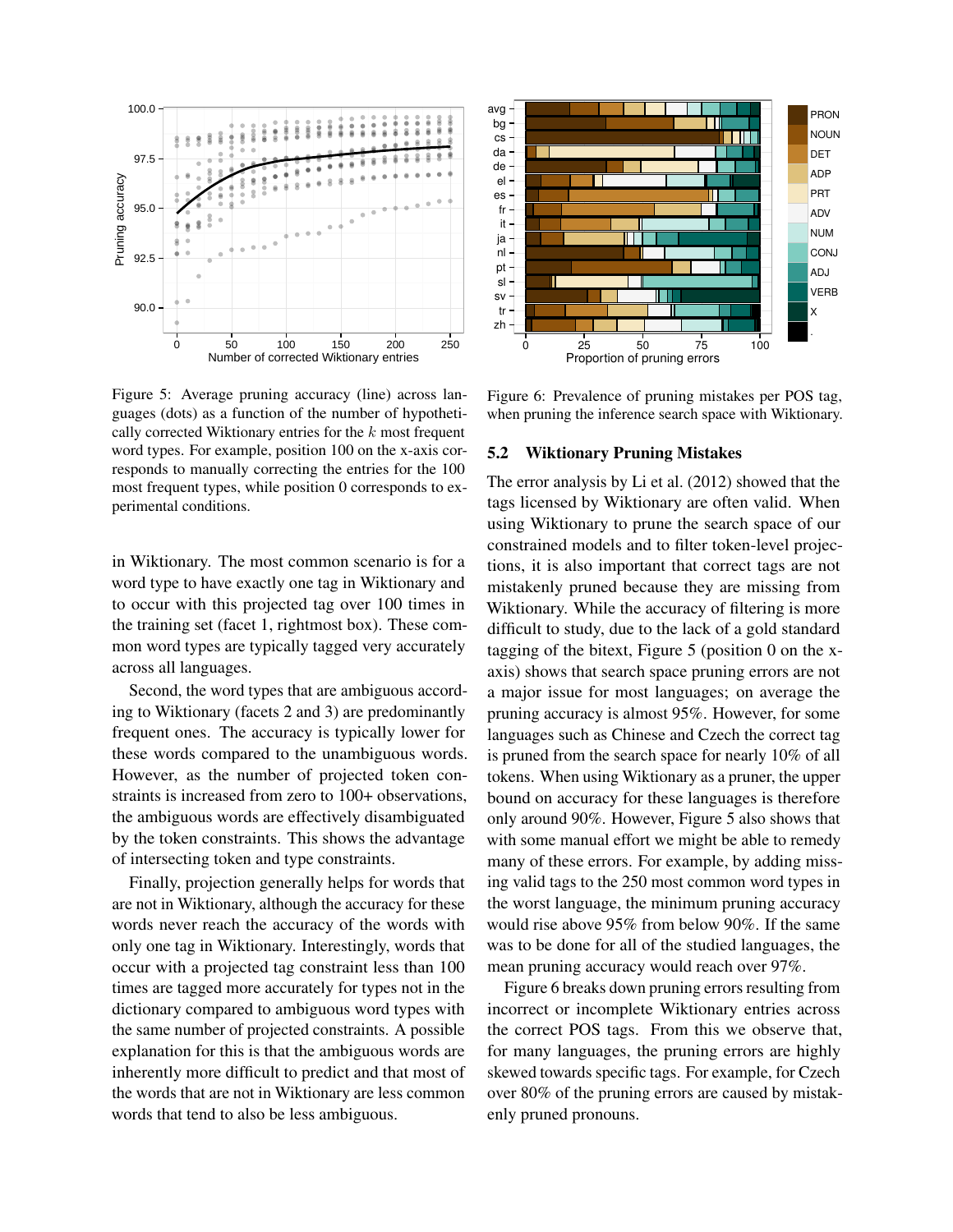

Figure 5: Average pruning accuracy (line) across languages (dots) as a function of the number of hypothetically corrected Wiktionary entries for the  $k$  most frequent word types. For example, position 100 on the x-axis corresponds to manually correcting the entries for the 100 most frequent types, while position 0 corresponds to experimental conditions.

in Wiktionary. The most common scenario is for a word type to have exactly one tag in Wiktionary and to occur with this projected tag over 100 times in the training set (facet 1, rightmost box). These common word types are typically tagged very accurately across all languages.

Second, the word types that are ambiguous according to Wiktionary (facets 2 and 3) are predominantly frequent ones. The accuracy is typically lower for these words compared to the unambiguous words. However, as the number of projected token constraints is increased from zero to 100+ observations, the ambiguous words are effectively disambiguated by the token constraints. This shows the advantage of intersecting token and type constraints.

Finally, projection generally helps for words that are not in Wiktionary, although the accuracy for these words never reach the accuracy of the words with only one tag in Wiktionary. Interestingly, words that occur with a projected tag constraint less than 100 times are tagged more accurately for types not in the dictionary compared to ambiguous word types with the same number of projected constraints. A possible explanation for this is that the ambiguous words are inherently more difficult to predict and that most of the words that are not in Wiktionary are less common words that tend to also be less ambiguous.



Figure 6: Prevalence of pruning mistakes per POS tag, when pruning the inference search space with Wiktionary.

#### 5.2 Wiktionary Pruning Mistakes

The error analysis by Li et al. (2012) showed that the tags licensed by Wiktionary are often valid. When using Wiktionary to prune the search space of our constrained models and to filter token-level projections, it is also important that correct tags are not mistakenly pruned because they are missing from Wiktionary. While the accuracy of filtering is more difficult to study, due to the lack of a gold standard tagging of the bitext, Figure 5 (position 0 on the xaxis) shows that search space pruning errors are not a major issue for most languages; on average the pruning accuracy is almost 95%. However, for some languages such as Chinese and Czech the correct tag is pruned from the search space for nearly 10% of all tokens. When using Wiktionary as a pruner, the upper bound on accuracy for these languages is therefore only around 90%. However, Figure 5 also shows that with some manual effort we might be able to remedy many of these errors. For example, by adding missing valid tags to the 250 most common word types in the worst language, the minimum pruning accuracy would rise above 95% from below 90%. If the same was to be done for all of the studied languages, the mean pruning accuracy would reach over 97%.

Figure 6 breaks down pruning errors resulting from incorrect or incomplete Wiktionary entries across the correct POS tags. From this we observe that, for many languages, the pruning errors are highly skewed towards specific tags. For example, for Czech over 80% of the pruning errors are caused by mistakenly pruned pronouns.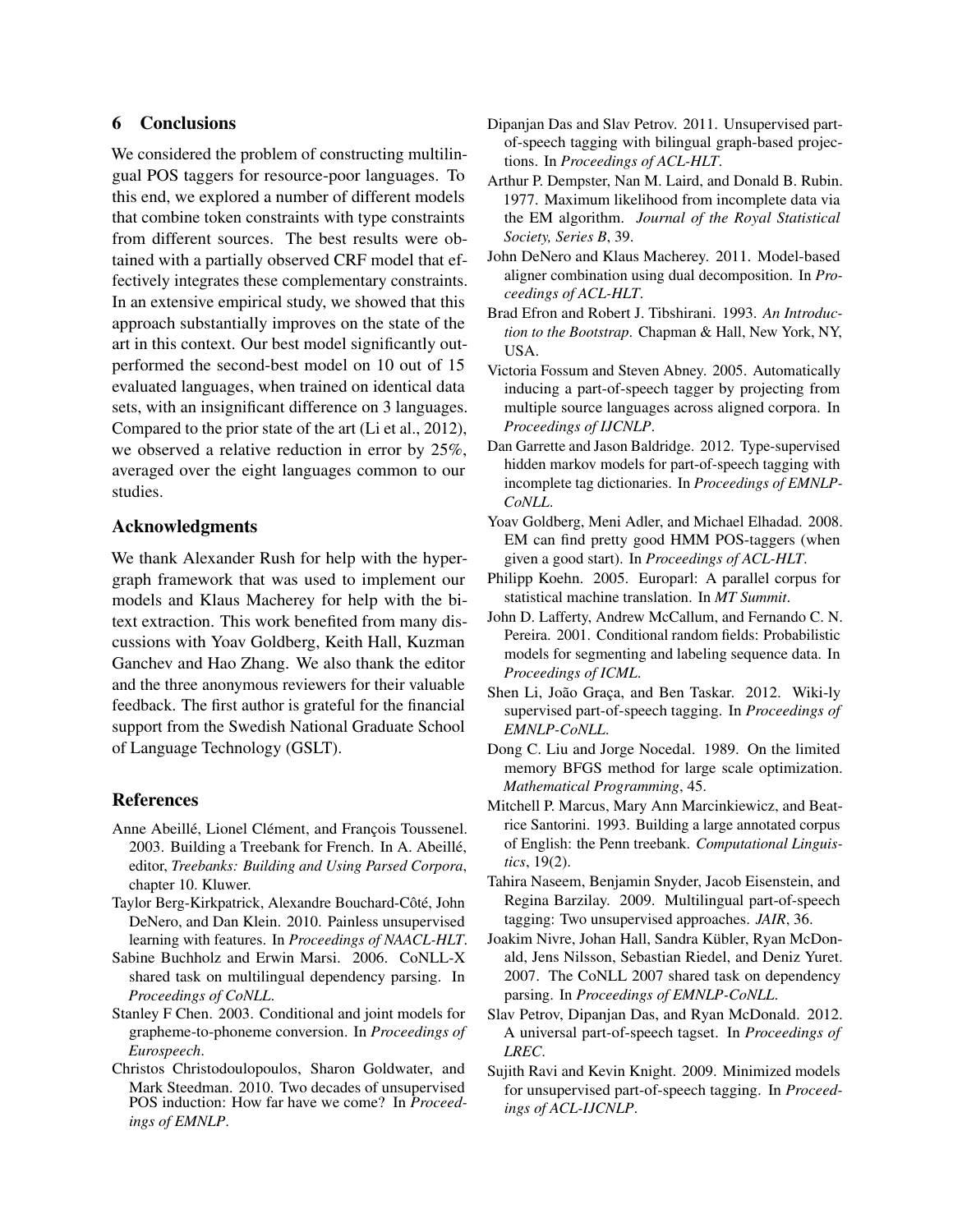# 6 Conclusions

We considered the problem of constructing multilingual POS taggers for resource-poor languages. To this end, we explored a number of different models that combine token constraints with type constraints from different sources. The best results were obtained with a partially observed CRF model that effectively integrates these complementary constraints. In an extensive empirical study, we showed that this approach substantially improves on the state of the art in this context. Our best model significantly outperformed the second-best model on 10 out of 15 evaluated languages, when trained on identical data sets, with an insignificant difference on 3 languages. Compared to the prior state of the art (Li et al., 2012), we observed a relative reduction in error by 25%, averaged over the eight languages common to our studies.

# Acknowledgments

We thank Alexander Rush for help with the hypergraph framework that was used to implement our models and Klaus Macherey for help with the bitext extraction. This work benefited from many discussions with Yoav Goldberg, Keith Hall, Kuzman Ganchev and Hao Zhang. We also thank the editor and the three anonymous reviewers for their valuable feedback. The first author is grateful for the financial support from the Swedish National Graduate School of Language Technology (GSLT).

#### References

- Anne Abeillé, Lionel Clément, and François Toussenel. 2003. Building a Treebank for French. In A. Abeillé, editor, *Treebanks: Building and Using Parsed Corpora*, chapter 10. Kluwer.
- Taylor Berg-Kirkpatrick, Alexandre Bouchard-Côté, John DeNero, and Dan Klein. 2010. Painless unsupervised learning with features. In *Proceedings of NAACL-HLT*.
- Sabine Buchholz and Erwin Marsi. 2006. CoNLL-X shared task on multilingual dependency parsing. In *Proceedings of CoNLL*.
- Stanley F Chen. 2003. Conditional and joint models for grapheme-to-phoneme conversion. In *Proceedings of Eurospeech*.
- Christos Christodoulopoulos, Sharon Goldwater, and Mark Steedman. 2010. Two decades of unsupervised POS induction: How far have we come? In *Proceedings of EMNLP*.
- Dipanjan Das and Slav Petrov. 2011. Unsupervised partof-speech tagging with bilingual graph-based projections. In *Proceedings of ACL-HLT*.
- Arthur P. Dempster, Nan M. Laird, and Donald B. Rubin. 1977. Maximum likelihood from incomplete data via the EM algorithm. *Journal of the Royal Statistical Society, Series B*, 39.
- John DeNero and Klaus Macherey. 2011. Model-based aligner combination using dual decomposition. In *Proceedings of ACL-HLT*.
- Brad Efron and Robert J. Tibshirani. 1993. *An Introduction to the Bootstrap*. Chapman & Hall, New York, NY, USA.
- Victoria Fossum and Steven Abney. 2005. Automatically inducing a part-of-speech tagger by projecting from multiple source languages across aligned corpora. In *Proceedings of IJCNLP*.
- Dan Garrette and Jason Baldridge. 2012. Type-supervised hidden markov models for part-of-speech tagging with incomplete tag dictionaries. In *Proceedings of EMNLP-CoNLL*.
- Yoav Goldberg, Meni Adler, and Michael Elhadad. 2008. EM can find pretty good HMM POS-taggers (when given a good start). In *Proceedings of ACL-HLT*.
- Philipp Koehn. 2005. Europarl: A parallel corpus for statistical machine translation. In *MT Summit*.
- John D. Lafferty, Andrew McCallum, and Fernando C. N. Pereira. 2001. Conditional random fields: Probabilistic models for segmenting and labeling sequence data. In *Proceedings of ICML*.
- Shen Li, João Graça, and Ben Taskar. 2012. Wiki-ly supervised part-of-speech tagging. In *Proceedings of EMNLP-CoNLL*.
- Dong C. Liu and Jorge Nocedal. 1989. On the limited memory BFGS method for large scale optimization. *Mathematical Programming*, 45.
- Mitchell P. Marcus, Mary Ann Marcinkiewicz, and Beatrice Santorini. 1993. Building a large annotated corpus of English: the Penn treebank. *Computational Linguistics*, 19(2).
- Tahira Naseem, Benjamin Snyder, Jacob Eisenstein, and Regina Barzilay. 2009. Multilingual part-of-speech tagging: Two unsupervised approaches. *JAIR*, 36.
- Joakim Nivre, Johan Hall, Sandra Kübler, Ryan McDonald, Jens Nilsson, Sebastian Riedel, and Deniz Yuret. 2007. The CoNLL 2007 shared task on dependency parsing. In *Proceedings of EMNLP-CoNLL*.
- Slav Petrov, Dipanjan Das, and Ryan McDonald. 2012. A universal part-of-speech tagset. In *Proceedings of LREC*.
- Sujith Ravi and Kevin Knight. 2009. Minimized models for unsupervised part-of-speech tagging. In *Proceedings of ACL-IJCNLP*.